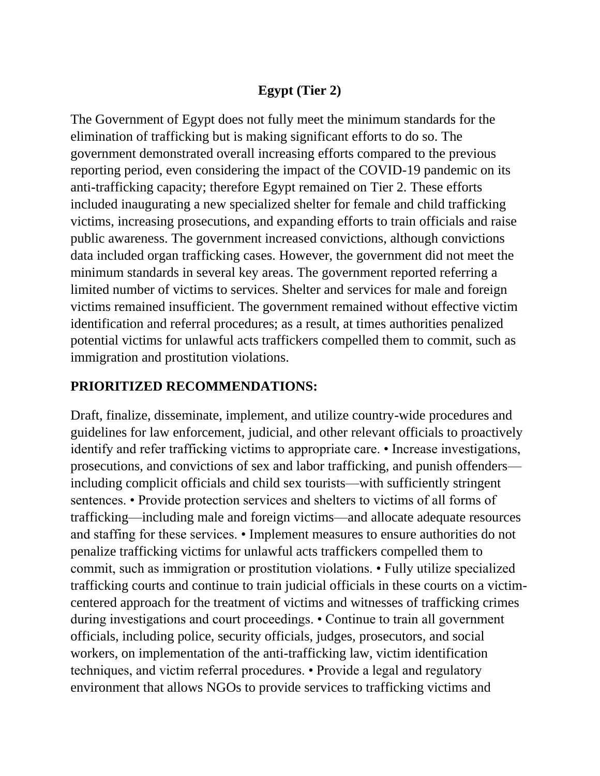# **Egypt (Tier 2)**

The Government of Egypt does not fully meet the minimum standards for the elimination of trafficking but is making significant efforts to do so. The government demonstrated overall increasing efforts compared to the previous reporting period, even considering the impact of the COVID-19 pandemic on its anti-trafficking capacity; therefore Egypt remained on Tier 2. These efforts included inaugurating a new specialized shelter for female and child trafficking victims, increasing prosecutions, and expanding efforts to train officials and raise public awareness. The government increased convictions, although convictions data included organ trafficking cases. However, the government did not meet the minimum standards in several key areas. The government reported referring a limited number of victims to services. Shelter and services for male and foreign victims remained insufficient. The government remained without effective victim identification and referral procedures; as a result, at times authorities penalized potential victims for unlawful acts traffickers compelled them to commit, such as immigration and prostitution violations.

## **PRIORITIZED RECOMMENDATIONS:**

Draft, finalize, disseminate, implement, and utilize country-wide procedures and guidelines for law enforcement, judicial, and other relevant officials to proactively identify and refer trafficking victims to appropriate care. • Increase investigations, prosecutions, and convictions of sex and labor trafficking, and punish offenders including complicit officials and child sex tourists—with sufficiently stringent sentences. • Provide protection services and shelters to victims of all forms of trafficking—including male and foreign victims—and allocate adequate resources and staffing for these services. • Implement measures to ensure authorities do not penalize trafficking victims for unlawful acts traffickers compelled them to commit, such as immigration or prostitution violations. • Fully utilize specialized trafficking courts and continue to train judicial officials in these courts on a victimcentered approach for the treatment of victims and witnesses of trafficking crimes during investigations and court proceedings. • Continue to train all government officials, including police, security officials, judges, prosecutors, and social workers, on implementation of the anti-trafficking law, victim identification techniques, and victim referral procedures. • Provide a legal and regulatory environment that allows NGOs to provide services to trafficking victims and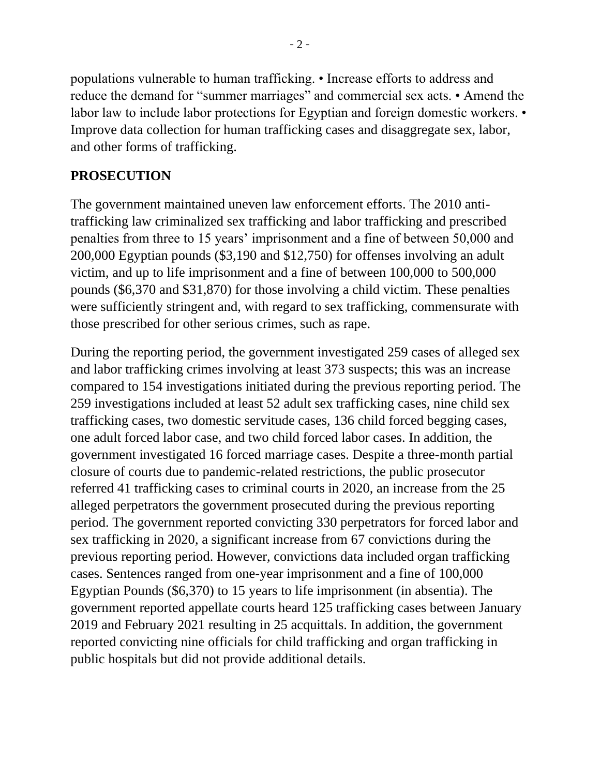populations vulnerable to human trafficking. • Increase efforts to address and reduce the demand for "summer marriages" and commercial sex acts. • Amend the labor law to include labor protections for Egyptian and foreign domestic workers. • Improve data collection for human trafficking cases and disaggregate sex, labor, and other forms of trafficking.

## **PROSECUTION**

The government maintained uneven law enforcement efforts. The 2010 antitrafficking law criminalized sex trafficking and labor trafficking and prescribed penalties from three to 15 years' imprisonment and a fine of between 50,000 and 200,000 Egyptian pounds (\$3,190 and \$12,750) for offenses involving an adult victim, and up to life imprisonment and a fine of between 100,000 to 500,000 pounds (\$6,370 and \$31,870) for those involving a child victim. These penalties were sufficiently stringent and, with regard to sex trafficking, commensurate with those prescribed for other serious crimes, such as rape.

During the reporting period, the government investigated 259 cases of alleged sex and labor trafficking crimes involving at least 373 suspects; this was an increase compared to 154 investigations initiated during the previous reporting period. The 259 investigations included at least 52 adult sex trafficking cases, nine child sex trafficking cases, two domestic servitude cases, 136 child forced begging cases, one adult forced labor case, and two child forced labor cases. In addition, the government investigated 16 forced marriage cases. Despite a three-month partial closure of courts due to pandemic-related restrictions, the public prosecutor referred 41 trafficking cases to criminal courts in 2020, an increase from the 25 alleged perpetrators the government prosecuted during the previous reporting period. The government reported convicting 330 perpetrators for forced labor and sex trafficking in 2020, a significant increase from 67 convictions during the previous reporting period. However, convictions data included organ trafficking cases. Sentences ranged from one-year imprisonment and a fine of 100,000 Egyptian Pounds (\$6,370) to 15 years to life imprisonment (in absentia). The government reported appellate courts heard 125 trafficking cases between January 2019 and February 2021 resulting in 25 acquittals. In addition, the government reported convicting nine officials for child trafficking and organ trafficking in public hospitals but did not provide additional details.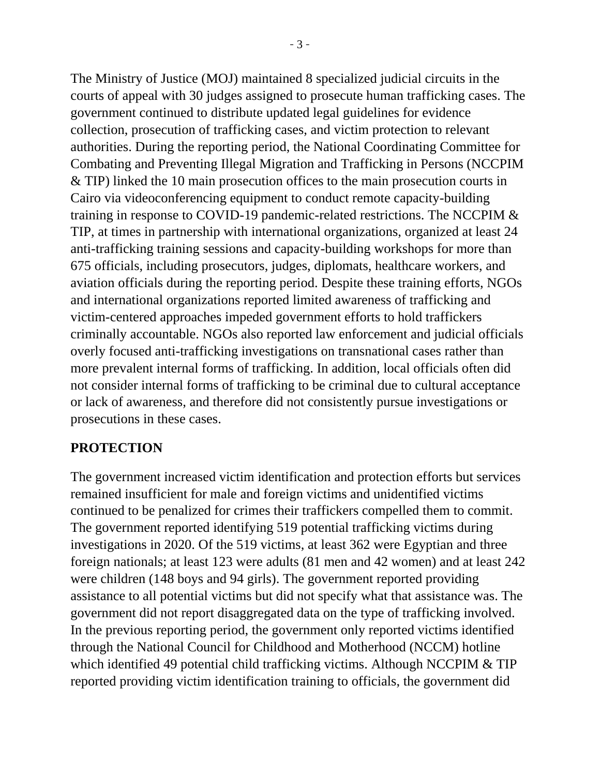The Ministry of Justice (MOJ) maintained 8 specialized judicial circuits in the courts of appeal with 30 judges assigned to prosecute human trafficking cases. The government continued to distribute updated legal guidelines for evidence collection, prosecution of trafficking cases, and victim protection to relevant authorities. During the reporting period, the National Coordinating Committee for Combating and Preventing Illegal Migration and Trafficking in Persons (NCCPIM & TIP) linked the 10 main prosecution offices to the main prosecution courts in Cairo via videoconferencing equipment to conduct remote capacity-building training in response to COVID-19 pandemic-related restrictions. The NCCPIM & TIP, at times in partnership with international organizations, organized at least 24 anti-trafficking training sessions and capacity-building workshops for more than 675 officials, including prosecutors, judges, diplomats, healthcare workers, and aviation officials during the reporting period. Despite these training efforts, NGOs and international organizations reported limited awareness of trafficking and victim-centered approaches impeded government efforts to hold traffickers criminally accountable. NGOs also reported law enforcement and judicial officials overly focused anti-trafficking investigations on transnational cases rather than more prevalent internal forms of trafficking. In addition, local officials often did not consider internal forms of trafficking to be criminal due to cultural acceptance or lack of awareness, and therefore did not consistently pursue investigations or prosecutions in these cases.

#### **PROTECTION**

The government increased victim identification and protection efforts but services remained insufficient for male and foreign victims and unidentified victims continued to be penalized for crimes their traffickers compelled them to commit. The government reported identifying 519 potential trafficking victims during investigations in 2020. Of the 519 victims, at least 362 were Egyptian and three foreign nationals; at least 123 were adults (81 men and 42 women) and at least 242 were children (148 boys and 94 girls). The government reported providing assistance to all potential victims but did not specify what that assistance was. The government did not report disaggregated data on the type of trafficking involved. In the previous reporting period, the government only reported victims identified through the National Council for Childhood and Motherhood (NCCM) hotline which identified 49 potential child trafficking victims. Although NCCPIM & TIP reported providing victim identification training to officials, the government did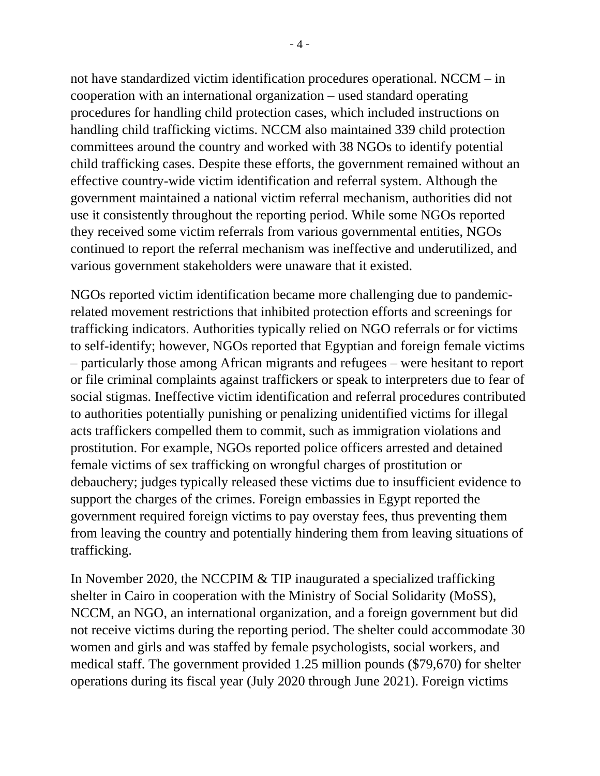not have standardized victim identification procedures operational. NCCM – in cooperation with an international organization – used standard operating procedures for handling child protection cases, which included instructions on handling child trafficking victims. NCCM also maintained 339 child protection committees around the country and worked with 38 NGOs to identify potential child trafficking cases. Despite these efforts, the government remained without an effective country-wide victim identification and referral system. Although the government maintained a national victim referral mechanism, authorities did not use it consistently throughout the reporting period. While some NGOs reported they received some victim referrals from various governmental entities, NGOs continued to report the referral mechanism was ineffective and underutilized, and various government stakeholders were unaware that it existed.

NGOs reported victim identification became more challenging due to pandemicrelated movement restrictions that inhibited protection efforts and screenings for trafficking indicators. Authorities typically relied on NGO referrals or for victims to self-identify; however, NGOs reported that Egyptian and foreign female victims – particularly those among African migrants and refugees – were hesitant to report or file criminal complaints against traffickers or speak to interpreters due to fear of social stigmas. Ineffective victim identification and referral procedures contributed to authorities potentially punishing or penalizing unidentified victims for illegal acts traffickers compelled them to commit, such as immigration violations and prostitution. For example, NGOs reported police officers arrested and detained female victims of sex trafficking on wrongful charges of prostitution or debauchery; judges typically released these victims due to insufficient evidence to support the charges of the crimes. Foreign embassies in Egypt reported the government required foreign victims to pay overstay fees, thus preventing them from leaving the country and potentially hindering them from leaving situations of trafficking.

In November 2020, the NCCPIM & TIP inaugurated a specialized trafficking shelter in Cairo in cooperation with the Ministry of Social Solidarity (MoSS), NCCM, an NGO, an international organization, and a foreign government but did not receive victims during the reporting period. The shelter could accommodate 30 women and girls and was staffed by female psychologists, social workers, and medical staff. The government provided 1.25 million pounds (\$79,670) for shelter operations during its fiscal year (July 2020 through June 2021). Foreign victims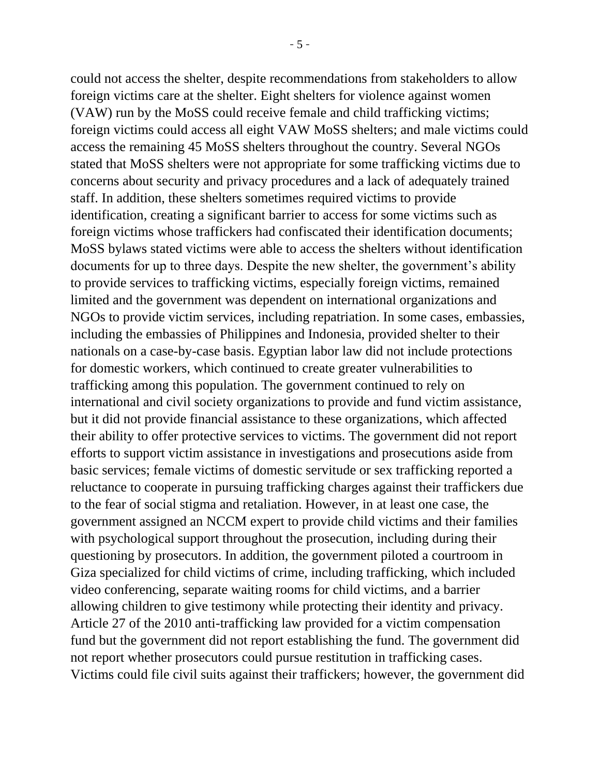could not access the shelter, despite recommendations from stakeholders to allow foreign victims care at the shelter. Eight shelters for violence against women (VAW) run by the MoSS could receive female and child trafficking victims; foreign victims could access all eight VAW MoSS shelters; and male victims could access the remaining 45 MoSS shelters throughout the country. Several NGOs stated that MoSS shelters were not appropriate for some trafficking victims due to concerns about security and privacy procedures and a lack of adequately trained staff. In addition, these shelters sometimes required victims to provide identification, creating a significant barrier to access for some victims such as foreign victims whose traffickers had confiscated their identification documents; MoSS bylaws stated victims were able to access the shelters without identification documents for up to three days. Despite the new shelter, the government's ability to provide services to trafficking victims, especially foreign victims, remained limited and the government was dependent on international organizations and NGOs to provide victim services, including repatriation. In some cases, embassies, including the embassies of Philippines and Indonesia, provided shelter to their nationals on a case-by-case basis. Egyptian labor law did not include protections for domestic workers, which continued to create greater vulnerabilities to trafficking among this population. The government continued to rely on international and civil society organizations to provide and fund victim assistance, but it did not provide financial assistance to these organizations, which affected their ability to offer protective services to victims. The government did not report efforts to support victim assistance in investigations and prosecutions aside from basic services; female victims of domestic servitude or sex trafficking reported a reluctance to cooperate in pursuing trafficking charges against their traffickers due to the fear of social stigma and retaliation. However, in at least one case, the government assigned an NCCM expert to provide child victims and their families with psychological support throughout the prosecution, including during their questioning by prosecutors. In addition, the government piloted a courtroom in Giza specialized for child victims of crime, including trafficking, which included video conferencing, separate waiting rooms for child victims, and a barrier allowing children to give testimony while protecting their identity and privacy. Article 27 of the 2010 anti-trafficking law provided for a victim compensation fund but the government did not report establishing the fund. The government did not report whether prosecutors could pursue restitution in trafficking cases. Victims could file civil suits against their traffickers; however, the government did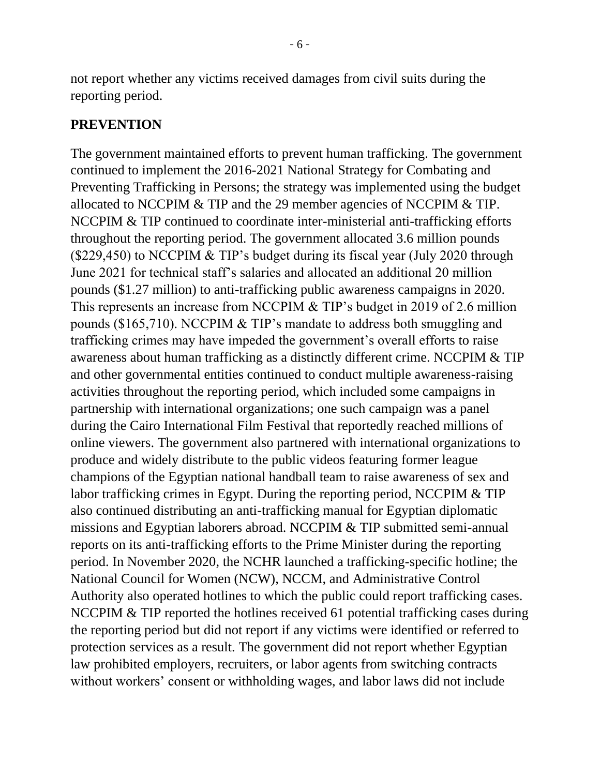not report whether any victims received damages from civil suits during the reporting period.

#### **PREVENTION**

The government maintained efforts to prevent human trafficking. The government continued to implement the 2016-2021 National Strategy for Combating and Preventing Trafficking in Persons; the strategy was implemented using the budget allocated to NCCPIM & TIP and the 29 member agencies of NCCPIM & TIP. NCCPIM & TIP continued to coordinate inter-ministerial anti-trafficking efforts throughout the reporting period. The government allocated 3.6 million pounds (\$229,450) to NCCPIM & TIP's budget during its fiscal year (July 2020 through June 2021 for technical staff's salaries and allocated an additional 20 million pounds (\$1.27 million) to anti-trafficking public awareness campaigns in 2020. This represents an increase from NCCPIM & TIP's budget in 2019 of 2.6 million pounds (\$165,710). NCCPIM & TIP's mandate to address both smuggling and trafficking crimes may have impeded the government's overall efforts to raise awareness about human trafficking as a distinctly different crime. NCCPIM & TIP and other governmental entities continued to conduct multiple awareness-raising activities throughout the reporting period, which included some campaigns in partnership with international organizations; one such campaign was a panel during the Cairo International Film Festival that reportedly reached millions of online viewers. The government also partnered with international organizations to produce and widely distribute to the public videos featuring former league champions of the Egyptian national handball team to raise awareness of sex and labor trafficking crimes in Egypt. During the reporting period, NCCPIM & TIP also continued distributing an anti-trafficking manual for Egyptian diplomatic missions and Egyptian laborers abroad. NCCPIM & TIP submitted semi-annual reports on its anti-trafficking efforts to the Prime Minister during the reporting period. In November 2020, the NCHR launched a trafficking-specific hotline; the National Council for Women (NCW), NCCM, and Administrative Control Authority also operated hotlines to which the public could report trafficking cases. NCCPIM & TIP reported the hotlines received 61 potential trafficking cases during the reporting period but did not report if any victims were identified or referred to protection services as a result. The government did not report whether Egyptian law prohibited employers, recruiters, or labor agents from switching contracts without workers' consent or withholding wages, and labor laws did not include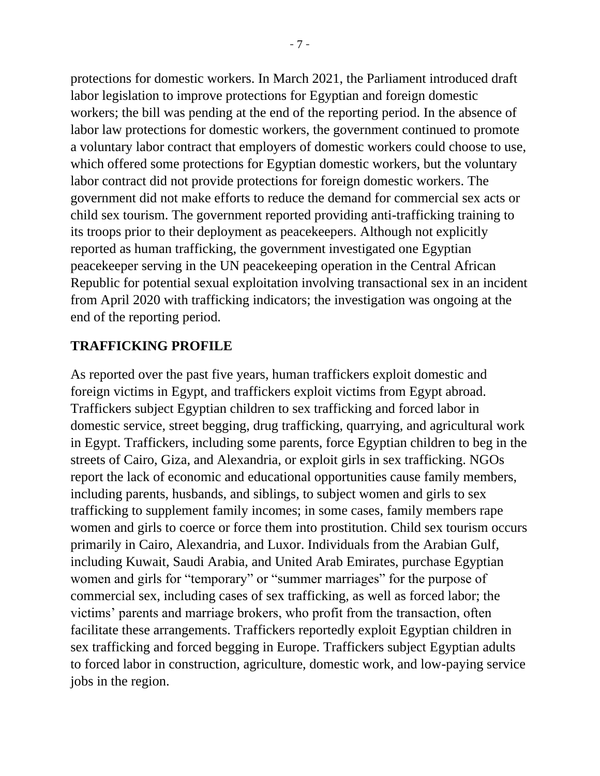protections for domestic workers. In March 2021, the Parliament introduced draft labor legislation to improve protections for Egyptian and foreign domestic workers; the bill was pending at the end of the reporting period. In the absence of labor law protections for domestic workers, the government continued to promote a voluntary labor contract that employers of domestic workers could choose to use, which offered some protections for Egyptian domestic workers, but the voluntary labor contract did not provide protections for foreign domestic workers. The government did not make efforts to reduce the demand for commercial sex acts or child sex tourism. The government reported providing anti-trafficking training to its troops prior to their deployment as peacekeepers. Although not explicitly reported as human trafficking, the government investigated one Egyptian peacekeeper serving in the UN peacekeeping operation in the Central African Republic for potential sexual exploitation involving transactional sex in an incident from April 2020 with trafficking indicators; the investigation was ongoing at the end of the reporting period.

### **TRAFFICKING PROFILE**

As reported over the past five years, human traffickers exploit domestic and foreign victims in Egypt, and traffickers exploit victims from Egypt abroad. Traffickers subject Egyptian children to sex trafficking and forced labor in domestic service, street begging, drug trafficking, quarrying, and agricultural work in Egypt. Traffickers, including some parents, force Egyptian children to beg in the streets of Cairo, Giza, and Alexandria, or exploit girls in sex trafficking. NGOs report the lack of economic and educational opportunities cause family members, including parents, husbands, and siblings, to subject women and girls to sex trafficking to supplement family incomes; in some cases, family members rape women and girls to coerce or force them into prostitution. Child sex tourism occurs primarily in Cairo, Alexandria, and Luxor. Individuals from the Arabian Gulf, including Kuwait, Saudi Arabia, and United Arab Emirates, purchase Egyptian women and girls for "temporary" or "summer marriages" for the purpose of commercial sex, including cases of sex trafficking, as well as forced labor; the victims' parents and marriage brokers, who profit from the transaction, often facilitate these arrangements. Traffickers reportedly exploit Egyptian children in sex trafficking and forced begging in Europe. Traffickers subject Egyptian adults to forced labor in construction, agriculture, domestic work, and low-paying service jobs in the region.